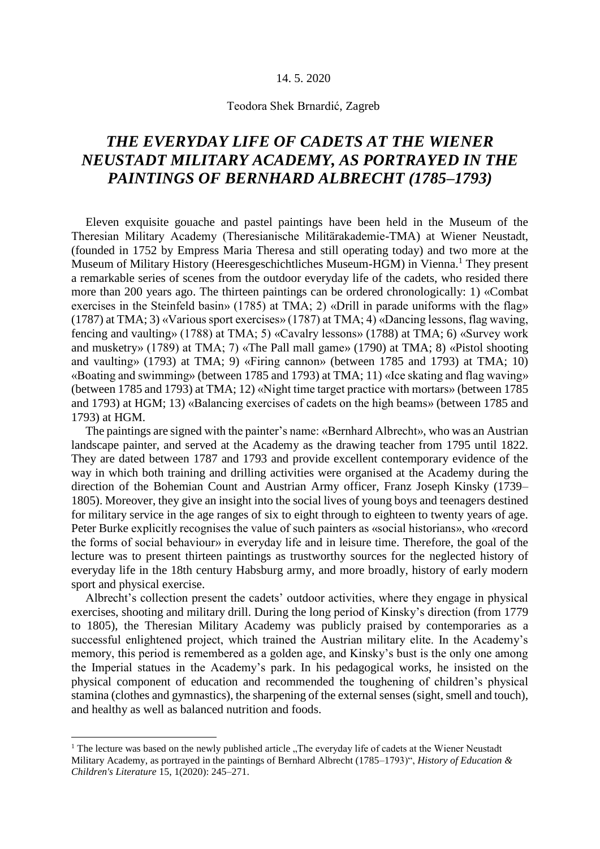## 14. 5. 2020

## Teodora Shek Brnardić, Zagreb

## *THE EVERYDAY LIFE OF CADETS AT THE WIENER NEUSTADT MILITARY ACADEMY, AS PORTRAYED IN THE PAINTINGS OF BERNHARD ALBRECHT (1785–1793)*

Eleven exquisite gouache and pastel paintings have been held in the Museum of the Theresian Military Academy (Theresianische Militärakademie-TMA) at Wiener Neustadt, (founded in 1752 by Empress Maria Theresa and still operating today) and two more at the Museum of Military History (Heeresgeschichtliches Museum-HGM) in Vienna.<sup>1</sup> They present a remarkable series of scenes from the outdoor everyday life of the cadets, who resided there more than 200 years ago. The thirteen paintings can be ordered chronologically: 1) «Combat exercises in the Steinfeld basin» (1785) at TMA; 2) «Drill in parade uniforms with the flag» (1787) at TMA; 3) «Various sport exercises» (1787) at TMA; 4) «Dancing lessons, flag waving, fencing and vaulting» (1788) at TMA; 5) «Cavalry lessons» (1788) at TMA; 6) «Survey work and musketry» (1789) at TMA; 7) «The Pall mall game» (1790) at TMA; 8) «Pistol shooting and vaulting» (1793) at TMA; 9) «Firing cannon» (between 1785 and 1793) at TMA; 10) «Boating and swimming» (between 1785 and 1793) at TMA; 11) «Ice skating and flag waving» (between 1785 and 1793) at TMA; 12) «Night time target practice with mortars» (between 1785 and 1793) at HGM; 13) «Balancing exercises of cadets on the high beams» (between 1785 and 1793) at HGM.

The paintings are signed with the painter's name: «Bernhard Albrecht», who was an Austrian landscape painter, and served at the Academy as the drawing teacher from 1795 until 1822. They are dated between 1787 and 1793 and provide excellent contemporary evidence of the way in which both training and drilling activities were organised at the Academy during the direction of the Bohemian Count and Austrian Army officer, Franz Joseph Kinsky (1739– 1805). Moreover, they give an insight into the social lives of young boys and teenagers destined for military service in the age ranges of six to eight through to eighteen to twenty years of age. Peter Burke explicitly recognises the value of such painters as «social historians», who «record the forms of social behaviour» in everyday life and in leisure time. Therefore, the goal of the lecture was to present thirteen paintings as trustworthy sources for the neglected history of everyday life in the 18th century Habsburg army, and more broadly, history of early modern sport and physical exercise.

Albrecht's collection present the cadets' outdoor activities, where they engage in physical exercises, shooting and military drill. During the long period of Kinsky's direction (from 1779 to 1805), the Theresian Military Academy was publicly praised by contemporaries as a successful enlightened project, which trained the Austrian military elite. In the Academy's memory, this period is remembered as a golden age, and Kinsky's bust is the only one among the Imperial statues in the Academy's park. In his pedagogical works, he insisted on the physical component of education and recommended the toughening of children's physical stamina (clothes and gymnastics), the sharpening of the external senses (sight, smell and touch), and healthy as well as balanced nutrition and foods.

<u>.</u>

 $1$  The lecture was based on the newly published article  $n$ , The everyday life of cadets at the Wiener Neustadt Military Academy, as portrayed in the paintings of Bernhard Albrecht (1785–1793)", *History of Education & Children's Literature* 15, 1(2020): 245–271.